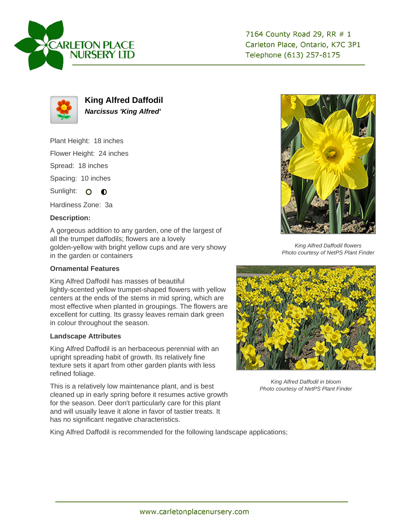



**King Alfred Daffodil Narcissus 'King Alfred'**

Plant Height: 18 inches

Flower Height: 24 inches

Spread: 18 inches

Spacing: 10 inches

Sunlight: O O

Hardiness Zone: 3a

## **Description:**

A gorgeous addition to any garden, one of the largest of all the trumpet daffodils; flowers are a lovely golden-yellow with bright yellow cups and are very showy in the garden or containers

## **Ornamental Features**

King Alfred Daffodil has masses of beautiful lightly-scented yellow trumpet-shaped flowers with yellow centers at the ends of the stems in mid spring, which are most effective when planted in groupings. The flowers are excellent for cutting. Its grassy leaves remain dark green in colour throughout the season.

## **Landscape Attributes**

King Alfred Daffodil is an herbaceous perennial with an upright spreading habit of growth. Its relatively fine texture sets it apart from other garden plants with less refined foliage.

This is a relatively low maintenance plant, and is best cleaned up in early spring before it resumes active growth for the season. Deer don't particularly care for this plant and will usually leave it alone in favor of tastier treats. It has no significant negative characteristics.

King Alfred Daffodil is recommended for the following landscape applications;



King Alfred Daffodil flowers Photo courtesy of NetPS Plant Finder



King Alfred Daffodil in bloom Photo courtesy of NetPS Plant Finder